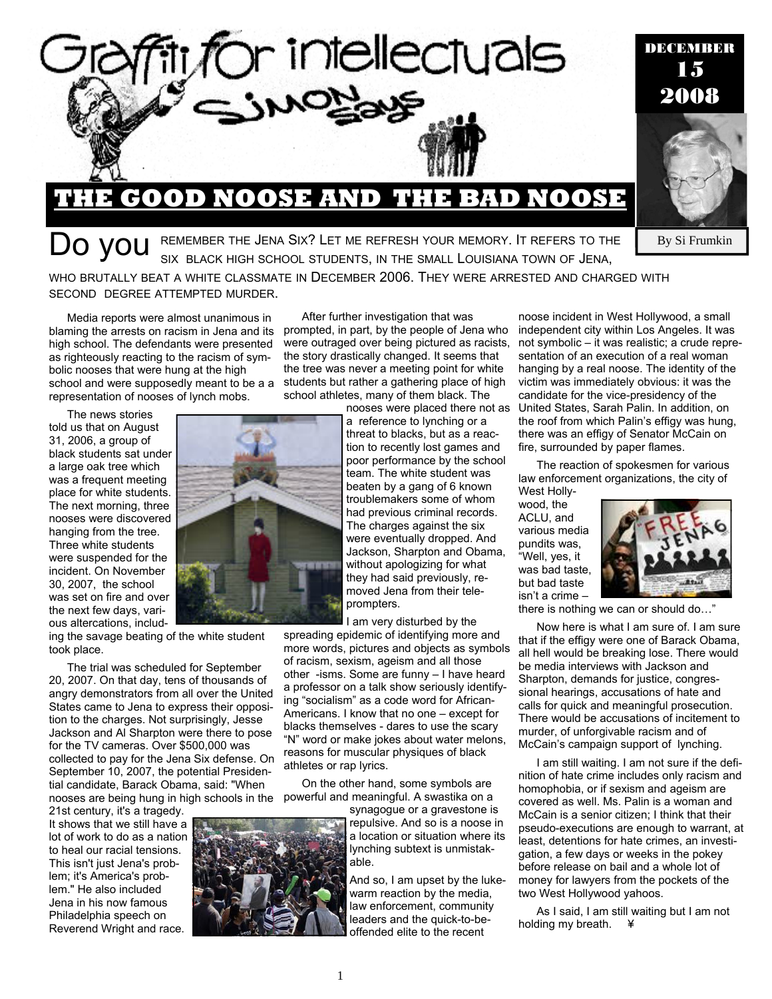

DO YOU REMEMBER THE JENA SIX? LET ME REFRESH YOUR MEMORY. IT REFERS TO THE SIX BLACK HIGH SCHOOL STUDENTS, IN THE SMALL LOUISIANA TOWN OF JENA,

WHO BRUTALLY BEAT A WHITE CLASSMATE IN DECEMBER 2006. THEY WERE ARRESTED AND CHARGED WITH SECOND DEGREE ATTEMPTED MURDER.

Media reports were almost unanimous in blaming the arrests on racism in Jena and its high school. The defendants were presented as righteously reacting to the racism of symbolic nooses that were hung at the high school and were supposedly meant to be a a representation of nooses of lynch mobs.

The news stories told us that on August 31, 2006, a group of black students sat under a large oak tree which was a frequent meeting place for white students. The next morning, three nooses were discovered hanging from the tree. Three white students were suspended for the incident. On November 30, 2007, the school was set on fire and over the next few days, various altercations, includ-

ing the savage beating of the white student took place.

The trial was scheduled for September 20, 2007. On that day, tens of thousands of angry demonstrators from all over the United States came to Jena to express their opposition to the charges. Not surprisingly, Jesse Jackson and Al Sharpton were there to pose for the TV cameras. Over \$500,000 was collected to pay for the Jena Six defense. On September 10, 2007, the potential Presidential candidate, Barack Obama, said: "When nooses are being hung in high schools in the

21st century, it's a tragedy. It shows that we still have a lot of work to do as a nation to heal our racial tensions. This isn't just Jena's problem; it's America's problem." He also included Jena in his now famous Philadelphia speech on Reverend Wright and race.



After further investigation that was prompted, in part, by the people of Jena who were outraged over being pictured as racists, the story drastically changed. It seems that the tree was never a meeting point for white students but rather a gathering place of high school athletes, many of them black. The

nooses were placed there not as a reference to lynching or a threat to blacks, but as a reaction to recently lost games and poor performance by the school team. The white student was beaten by a gang of 6 known troublemakers some of whom had previous criminal records. The charges against the six were eventually dropped. And Jackson, Sharpton and Obama, without apologizing for what they had said previously, removed Jena from their teleprompters.

I am very disturbed by the spreading epidemic of identifying more and more words, pictures and objects as symbols of racism, sexism, ageism and all those other -isms. Some are funny – I have heard a professor on a talk show seriously identifying "socialism" as a code word for African-Americans. I know that no one – except for blacks themselves - dares to use the scary "N" word or make jokes about water melons, reasons for muscular physiques of black athletes or rap lyrics.

On the other hand, some symbols are powerful and meaningful. A swastika on a

> synagogue or a gravestone is repulsive. And so is a noose in a location or situation where its lynching subtext is unmistakable.

> And so, I am upset by the lukewarm reaction by the media, law enforcement, community leaders and the quick-to-beoffended elite to the recent

noose incident in West Hollywood, a small independent city within Los Angeles. It was not symbolic – it was realistic; a crude representation of an execution of a real woman hanging by a real noose. The identity of the victim was immediately obvious: it was the candidate for the vice-presidency of the United States, Sarah Palin. In addition, on the roof from which Palin's effigy was hung, there was an effigy of Senator McCain on fire, surrounded by paper flames.

The reaction of spokesmen for various law enforcement organizations, the city of West Holly-

wood, the ACLU, and various media pundits was, "Well, yes, it was bad taste, but bad taste isn't a crime –



By Si Frumkin

there is nothing we can or should do…"

Now here is what I am sure of. I am sure that if the effigy were one of Barack Obama, all hell would be breaking lose. There would be media interviews with Jackson and Sharpton, demands for justice, congressional hearings, accusations of hate and calls for quick and meaningful prosecution. There would be accusations of incitement to murder, of unforgivable racism and of McCain's campaign support of lynching.

I am still waiting. I am not sure if the definition of hate crime includes only racism and homophobia, or if sexism and ageism are covered as well. Ms. Palin is a woman and McCain is a senior citizen; I think that their pseudo-executions are enough to warrant, at least, detentions for hate crimes, an investigation, a few days or weeks in the pokey before release on bail and a whole lot of money for lawyers from the pockets of the two West Hollywood yahoos.

As I said, I am still waiting but I am not holding my breath. \\

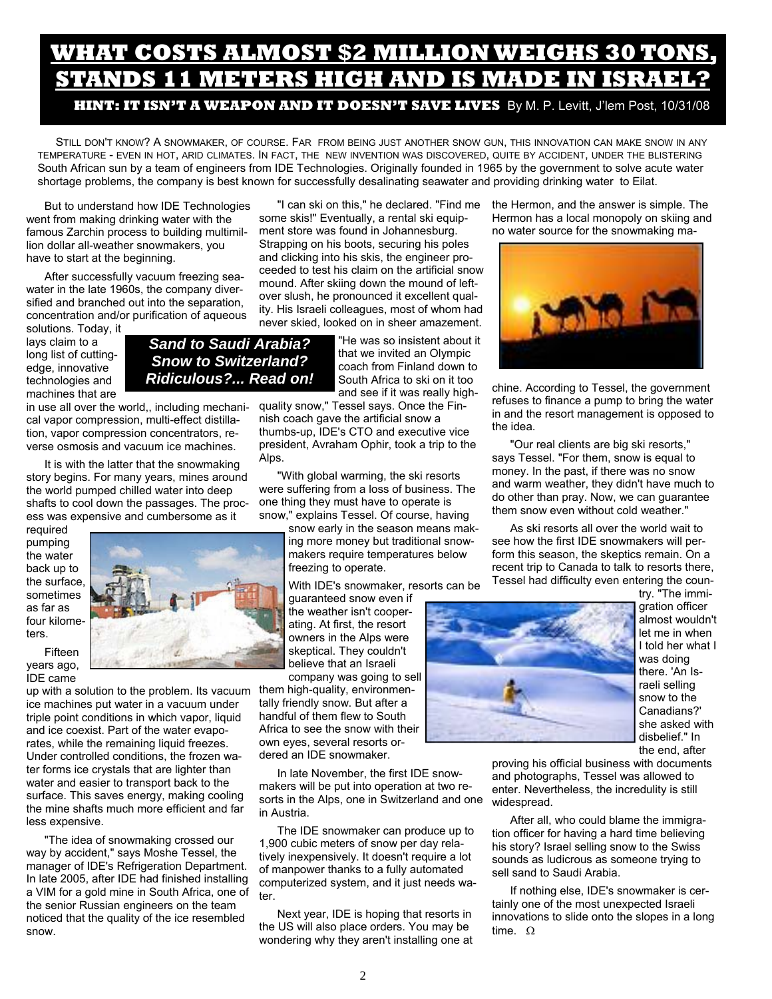# WHAT COSTS ALMOST \$2 MILLION WEIGHS 30 TO STANDS 11 METERS HIGH AND IS MADE IN ISRA

**HINT: IT ISN'T A WEAPON AND IT DOESN'T SAVE LIVES** By M. P. Levitt, J'lem Post, 10/31/08

STILL DON'T KNOW? A SNOWMAKER, OF COURSE. FAR FROM BEING JUST ANOTHER SNOW GUN, THIS INNOVATION CAN MAKE SNOW IN ANY TEMPERATURE - EVEN IN HOT, ARID CLIMATES. IN FACT, THE NEW INVENTION WAS DISCOVERED, QUITE BY ACCIDENT, UNDER THE BLISTERING South African sun by a team of engineers from IDE Technologies. Originally founded in 1965 by the government to solve acute water shortage problems, the company is best known for successfully desalinating seawater and providing drinking water to Eilat.

But to understand how IDE Technologies went from making drinking water with the famous Zarchin process to building multimillion dollar all-weather snowmakers, you have to start at the beginning.

After successfully vacuum freezing seawater in the late 1960s, the company diversified and branched out into the separation, concentration and/or purification of aqueous

solutions. Today, it lays claim to a long list of cuttingedge, innovative technologies and machines that are

*Snow to Switzerland? Ridiculous?... Read on!* 

*Sand to Saudi Arabia?* 

in use all over the world,, including mechanical vapor compression, multi-effect distillation, vapor compression concentrators, reverse osmosis and vacuum ice machines.

It is with the latter that the snowmaking story begins. For many years, mines around the world pumped chilled water into deep shafts to cool down the passages. The process was expensive and cumbersome as it

required pumping the water back up to the surface, sometimes as far as four kilometers.

Fifteen years ago, IDE came

up with a solution to the problem. Its vacuum them high-quality, environmenice machines put water in a vacuum under triple point conditions in which vapor, liquid and ice coexist. Part of the water evaporates, while the remaining liquid freezes. Under controlled conditions, the frozen water forms ice crystals that are lighter than water and easier to transport back to the surface. This saves energy, making cooling the mine shafts much more efficient and far less expensive.

"The idea of snowmaking crossed our way by accident," says Moshe Tessel, the manager of IDE's Refrigeration Department. In late 2005, after IDE had finished installing a VIM for a gold mine in South Africa, one of the senior Russian engineers on the team noticed that the quality of the ice resembled snow.

"I can ski on this," he declared. "Find me some skis!" Eventually, a rental ski equipment store was found in Johannesburg. Strapping on his boots, securing his poles and clicking into his skis, the engineer proceeded to test his claim on the artificial snow mound. After skiing down the mound of leftover slush, he pronounced it excellent quality. His Israeli colleagues, most of whom had never skied, looked on in sheer amazement.

> "He was so insistent about it that we invited an Olympic coach from Finland down to South Africa to ski on it too and see if it was really high-

quality snow," Tessel says. Once the Finnish coach gave the artificial snow a thumbs-up, IDE's CTO and executive vice president, Avraham Ophir, took a trip to the Alps.

"With global warming, the ski resorts were suffering from a loss of business. The one thing they must have to operate is snow," explains Tessel. Of course, having

> snow early in the season means making more money but traditional snowmakers require temperatures below freezing to operate.

> With IDE's snowmaker, resorts can be

guaranteed snow even if the weather isn't cooperating. At first, the resort owners in the Alps were skeptical. They couldn't believe that an Israeli company was going to sell

tally friendly snow. But after a handful of them flew to South Africa to see the snow with their own eyes, several resorts ordered an IDE snowmaker.

In late November, the first IDE snowmakers will be put into operation at two resorts in the Alps, one in Switzerland and one in Austria.

The IDE snowmaker can produce up to 1,900 cubic meters of snow per day relatively inexpensively. It doesn't require a lot of manpower thanks to a fully automated computerized system, and it just needs water.

Next year, IDE is hoping that resorts in the US will also place orders. You may be wondering why they aren't installing one at the Hermon, and the answer is simple. The Hermon has a local monopoly on skiing and no water source for the snowmaking ma-



chine. According to Tessel, the government refuses to finance a pump to bring the water in and the resort management is opposed to the idea.

"Our real clients are big ski resorts," says Tessel. "For them, snow is equal to money. In the past, if there was no snow and warm weather, they didn't have much to do other than pray. Now, we can guarantee them snow even without cold weather."

As ski resorts all over the world wait to see how the first IDE snowmakers will perform this season, the skeptics remain. On a recent trip to Canada to talk to resorts there, Tessel had difficulty even entering the coun-



try. "The immigration officer almost wouldn't let me in when I told her what I was doing there. 'An Israeli selling snow to the Canadians?' she asked with disbelief." In the end, after

proving his official business with documents and photographs, Tessel was allowed to enter. Nevertheless, the incredulity is still widespread.

After all, who could blame the immigration officer for having a hard time believing his story? Israel selling snow to the Swiss sounds as ludicrous as someone trying to sell sand to Saudi Arabia.

If nothing else, IDE's snowmaker is certainly one of the most unexpected Israeli innovations to slide onto the slopes in a long time. Ω

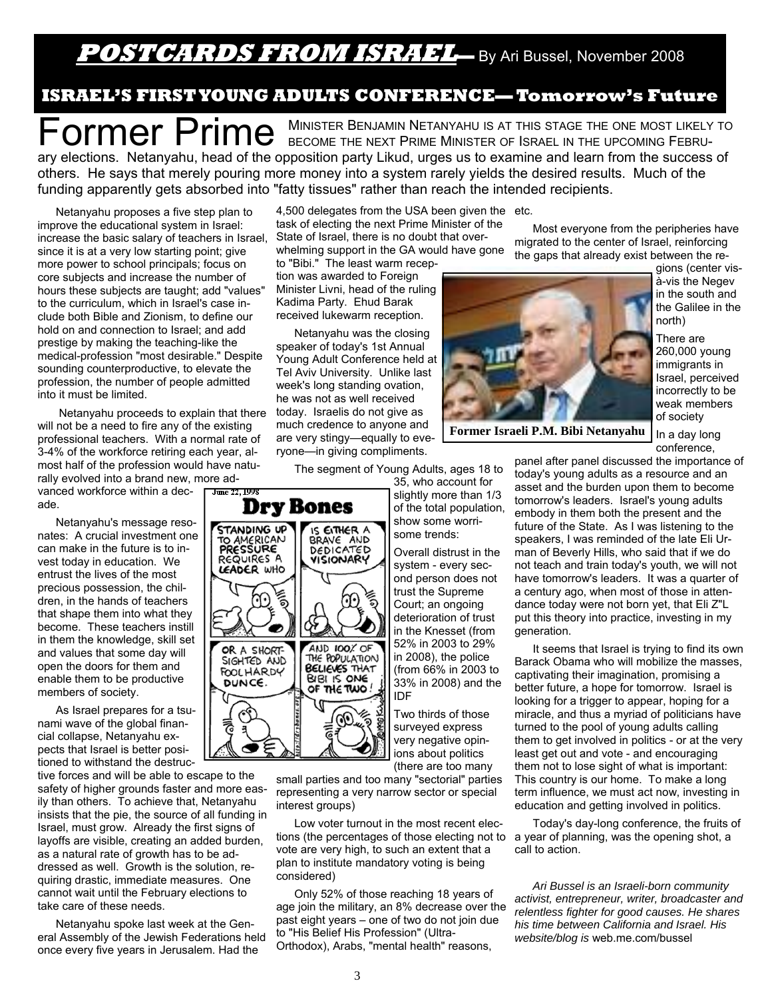### **POSTCARDS FROM ISRAEL—** By Ari Bussel, November 2008

### **ISRAEL'S FIRST YOUNG ADULTS CONFERENCE— Tomorrow's Future**

Former Prime Secone the Next Prime Minister of Israel in the upcoming February elections. Netanyahu, head of the opposition party Likud, urges us to examine and learn from the success of others. He says that merely pouring more money into a system rarely yields the desired results. Much of the funding apparently gets absorbed into "fatty tissues" rather than reach the intended recipients.

Netanyahu proposes a five step plan to improve the educational system in Israel: increase the basic salary of teachers in Israel, since it is at a very low starting point; give more power to school principals; focus on core subjects and increase the number of hours these subjects are taught; add "values" to the curriculum, which in Israel's case include both Bible and Zionism, to define our hold on and connection to Israel; and add prestige by making the teaching-like the medical-profession "most desirable." Despite sounding counterproductive, to elevate the profession, the number of people admitted into it must be limited.

 Netanyahu proceeds to explain that there will not be a need to fire any of the existing professional teachers. With a normal rate of 3-4% of the workforce retiring each year, almost half of the profession would have naturally evolved into a brand new, more advanced workforce within a dec-June 22, 1998 ade. **Dry Bones** 

**STANDING UP** 

TO AMERICAN

REQUIRES A

LEADER WHO

OR A SHORT-SIGHTED AND

**FOOLHARDY** 

DUNCE.

أتم

ే

्रें खे き

Netanyahu's message resonates: A crucial investment one can make in the future is to invest today in education. We entrust the lives of the most precious possession, the children, in the hands of teachers that shape them into what they become. These teachers instill in them the knowledge, skill set and values that some day will open the doors for them and enable them to be productive members of society.

As Israel prepares for a tsunami wave of the global financial collapse, Netanyahu expects that Israel is better positioned to withstand the destruc-

tive forces and will be able to escape to the safety of higher grounds faster and more easily than others. To achieve that, Netanyahu insists that the pie, the source of all funding in Israel, must grow. Already the first signs of layoffs are visible, creating an added burden, as a natural rate of growth has to be addressed as well. Growth is the solution, requiring drastic, immediate measures. One cannot wait until the February elections to take care of these needs.

Netanyahu spoke last week at the General Assembly of the Jewish Federations held once every five years in Jerusalem. Had the

4,500 delegates from the USA been given the etc. task of electing the next Prime Minister of the State of Israel, there is no doubt that overwhelming support in the GA would have gone

to "Bibi." The least warm reception was awarded to Foreign Minister Livni, head of the ruling Kadima Party. Ehud Barak received lukewarm reception.

Netanyahu was the closing speaker of today's 1st Annual Young Adult Conference held at Tel Aviv University. Unlike last week's long standing ovation, he was not as well received today. Israelis do not give as much credence to anyone and are very stingy—equally to everyone—in giving compliments.

IS EITHER A

BRAVE AND

VISIONARY

AND 100% OF

BELIEVES THAT

BIBI IS ONE

OF THE TWO.

70

′≹ ಗಿ

The segment of Young Adults, ages 18 to

35, who account for slightly more than 1/3 of the total population, show some worrisome trends:

Overall distrust in the system - every second person does not trust the Supreme Court; an ongoing deterioration of trust in the Knesset (from 52% in 2003 to 29% in 2008), the police (from 66% in 2003 to 33% in 2008) and the IDF

Two thirds of those surveyed express very negative opinions about politics (there are too many

small parties and too many "sectorial" parties representing a very narrow sector or special interest groups)

Low voter turnout in the most recent elections (the percentages of those electing not to vote are very high, to such an extent that a plan to institute mandatory voting is being considered)

Only 52% of those reaching 18 years of age join the military, an 8% decrease over the past eight years – one of two do not join due to "His Belief His Profession" (Ultra-Orthodox), Arabs, "mental health" reasons,

Most everyone from the peripheries have migrated to the center of Israel, reinforcing the gaps that already exist between the re-



gions (center visà-vis the Negev in the south and the Galilee in the north)

There are 260,000 young immigrants in Israel, perceived incorrectly to be weak members of society

In a day long conference,

panel after panel discussed the importance of today's young adults as a resource and an asset and the burden upon them to become tomorrow's leaders. Israel's young adults embody in them both the present and the future of the State. As I was listening to the speakers, I was reminded of the late Eli Urman of Beverly Hills, who said that if we do not teach and train today's youth, we will not have tomorrow's leaders. It was a quarter of a century ago, when most of those in attendance today were not born yet, that Eli Z"L put this theory into practice, investing in my generation.

It seems that Israel is trying to find its own Barack Obama who will mobilize the masses, captivating their imagination, promising a better future, a hope for tomorrow. Israel is looking for a trigger to appear, hoping for a miracle, and thus a myriad of politicians have turned to the pool of young adults calling them to get involved in politics - or at the very least get out and vote - and encouraging them not to lose sight of what is important: This country is our home. To make a long term influence, we must act now, investing in education and getting involved in politics.

Today's day-long conference, the fruits of a year of planning, was the opening shot, a call to action.

*Ari Bussel is an Israeli-born community activist, entrepreneur, writer, broadcaster and relentless fighter for good causes. He shares his time between California and Israel. His website/blog is* web.me.com/bussel